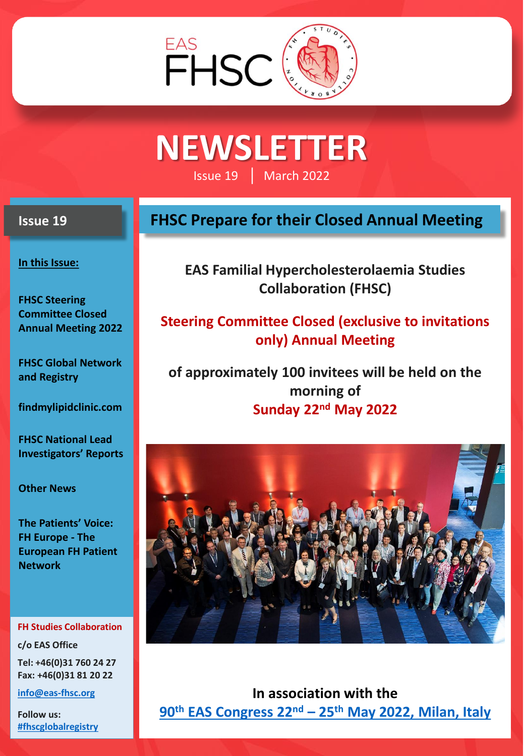

# **NEWSLETTER**

Issue 19 │ March 2022

### **Issue 19**

**In this Issue:**

**FHSC Steering Committee Closed Annual Meeting 2022**

**FHSC Global Network and Registry**

**findmylipidclinic.com**

**FHSC National Lead Investigators' Reports**

**Other News**

**The Patients' Voice: FH Europe - The European FH Patient Network**

#### **FH Studies Collaboration**

**c/o EAS Office Tel: +46(0)31 760 24 27 Fax: +46(0)31 81 20 22**

**[info@eas-fhsc.org](mailto:info@eas-fhsc.org)**

**Follow us: [#fhscglobalregistry](https://www.eas-society.org/page/contact_fhsc#fhscglobalregistry)**

## **FHSC Prepare for their Closed Annual Meeting**

**EAS Familial Hypercholesterolaemia Studies Collaboration (FHSC)** 

**Steering Committee Closed (exclusive to invitations only) Annual Meeting**

**of approximately 100 invitees will be held on the morning of Sunday 22nd May 2022**



**In association with the 90th EAS Congress 22nd – 25th [May 2022, Milan, Italy](https://eas-congress.com/2022/)**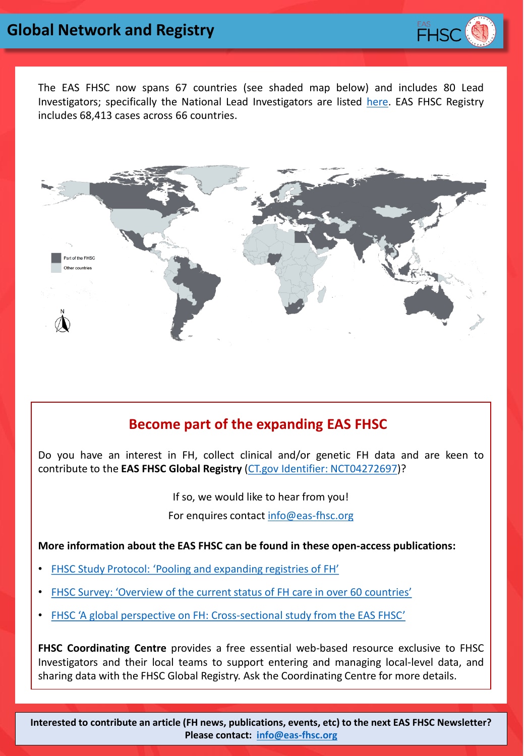

The EAS FHSC now spans 67 countries (see shaded map below) and includes 80 Lead Investigators; specifically the National Lead Investigators are listed [here](https://www.eas-society.org/page/fhsctmpmap). EAS FHSC Registry includes 68,413 cases across 66 countries.



## **Become part of the expanding EAS FHSC**

Become part of the EAS FHSC Do you have an interest in FH, collect clinical and/or genetic FH data and are keen to contribute to the **EAS FHSC Global Registry** (CT.gov Identifier: [NCT04272697\)](https://clinicaltrials.gov/ct2/show/NCT04272697?cond=Familial+Hypercholesterolemia&draw=2&rank=2)?

> If so, we would like to hear from you! For enquires contact [info@eas-fhsc.org](mailto:info@eas-fhsc.org)

**More information about the EAS FHSC can be found in these open-access publications:**

- FHSC Study Protocol: 'Pooling and [expanding](https://www.sciencedirect.com/science/article/pii/S1567568816300496) registries of FH'
- FHSC Survey: ['Overview](https://www.eas-society.org/resource/resmgr/fhsc/publications/Overview_current_status_FH_c.pdf) of the current status of FH care in over 60 countries'
- FHSC 'A global perspective on FH: [Cross-sectional](https://www.thelancet.com/journals/lancet/article/PIIS0140-6736(21)01122-3/fulltext#%20) study from the EAS FHSC'

**FHSC Coordinating Centre** provides a free essential web-based resource exclusive to FHSC Investigators and their local teams to support entering and managing local-level data, and sharing data with the FHSC Global Registry. Ask the Coordinating Centre for more details.

**Interested to contribute an article (FH news, publications, events, etc) to the next EAS FHSC Newsletter? Please contact: [info@eas-fhsc.org](mailto:info@eas-fhsc.org)**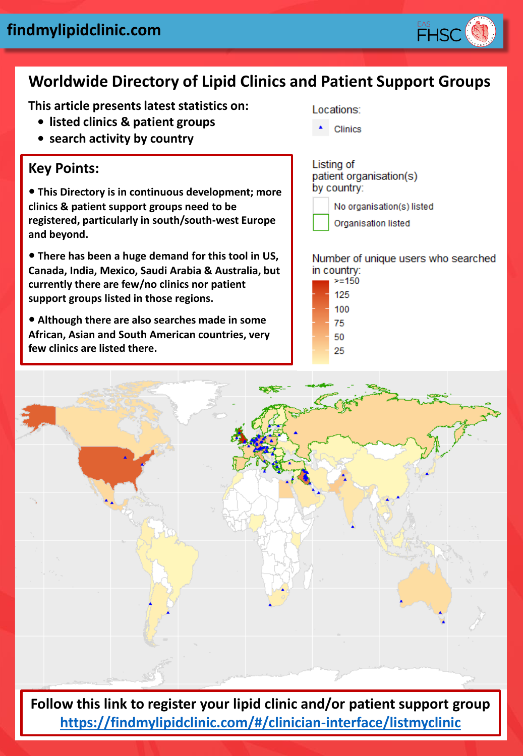

# **Worldwide Directory of Lipid Clinics and Patient Support Groups**

**This article presents latest statistics on:**

- **• listed clinics & patient groups**
- **• search activity by country**

## **Key Points:**

**• This Directory is in continuous development; more clinics & patient support groups need to be registered, particularly in south/south-west Europe and beyond.**

**• There has been a huge demand for this tool in US, Canada, India, Mexico, Saudi Arabia & Australia, but currently there are few/no clinics nor patient support groups listed in those regions.** 

**• Although there are also searches made in some African, Asian and South American countries, very few clinics are listed there.** 

Locations:

Clinics

Listing of patient organisation(s) by country:



Organisation listed

Number of unique users who searched in country:

| >=150 |
|-------|
| 125   |
| 100   |
| 75    |
| 50    |
| 25    |
|       |



**Follow this link to register your lipid clinic and/or patient support group <https://findmylipidclinic.com/#/clinician-interface/listmyclinic>**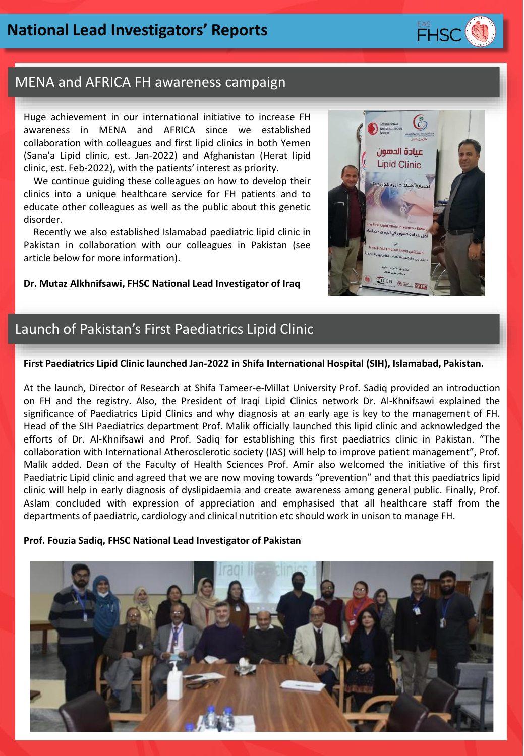

#### MENA and AFRICA FH awareness campaign

Huge achievement in our international initiative to increase FH awareness in MENA and AFRICA since we established collaboration with colleagues and first lipid clinics in both Yemen (Sana'a Lipid clinic, est. Jan-2022) and Afghanistan (Herat lipid clinic, est. Feb-2022), with the patients' interest as priority.

We continue guiding these colleagues on how to develop their clinics into a unique healthcare service for FH patients and to educate other colleagues as well as the public about this genetic disorder.

Recently we also established Islamabad paediatric lipid clinic in Pakistan in collaboration with our colleagues in Pakistan (see article below for more information).

**Dr. Mutaz Alkhnifsawi, FHSC National Lead Investigator of Iraq**



## Launch of Pakistan's First Paediatrics Lipid Clinic

#### **First Paediatrics Lipid Clinic launched Jan-2022 in Shifa International Hospital (SIH), Islamabad, Pakistan.**

At the launch, Director of Research at Shifa Tameer-e-Millat University Prof. Sadiq provided an introduction on FH and the registry. Also, the President of Iraqi Lipid Clinics network Dr. Al-Khnifsawi explained the significance of Paediatrics Lipid Clinics and why diagnosis at an early age is key to the management of FH. Head of the SIH Paediatrics department Prof. Malik officially launched this lipid clinic and acknowledged the efforts of Dr. Al-Khnifsawi and Prof. Sadiq for establishing this first paediatrics clinic in Pakistan. "The collaboration with International Atherosclerotic society (IAS) will help to improve patient management", Prof. Malik added. Dean of the Faculty of Health Sciences Prof. Amir also welcomed the initiative of this first Paediatric Lipid clinic and agreed that we are now moving towards "prevention" and that this paediatrics lipid clinic will help in early diagnosis of dyslipidaemia and create awareness among general public. Finally, Prof. Aslam concluded with expression of appreciation and emphasised that all healthcare staff from the departments of paediatric, cardiology and clinical nutrition etc should work in unison to manage FH.

#### **Prof. Fouzia Sadiq, FHSC National Lead Investigator of Pakistan**

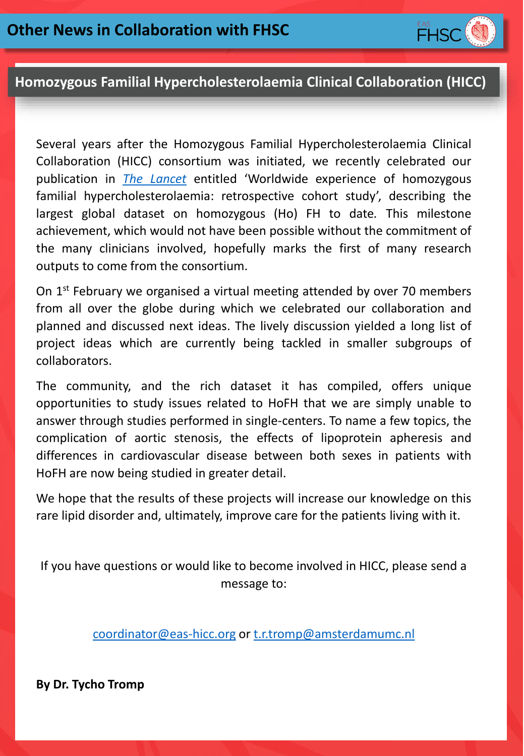

### **Homozygous Familial Hypercholesterolaemia Clinical Collaboration (HICC)**

Several years after the Homozygous Familial Hypercholesterolaemia Clinical Collaboration (HICC) consortium was initiated, we recently celebrated our publication in *The [Lancet](https://www.thelancet.com/journals/lancet/article/PIIS0140-6736(21)02001-8/fulltext)* entitled 'Worldwide experience of homozygous familial hypercholesterolaemia: retrospective cohort study', describing the largest global dataset on homozygous (Ho) FH to date*.* This milestone achievement, which would not have been possible without the commitment of the many clinicians involved, hopefully marks the first of many research outputs to come from the consortium.

On 1<sup>st</sup> February we organised a virtual meeting attended by over 70 members from all over the globe during which we celebrated our collaboration and planned and discussed next ideas. The lively discussion yielded a long list of project ideas which are currently being tackled in smaller subgroups of collaborators.

The community, and the rich dataset it has compiled, offers unique opportunities to study issues related to HoFH that we are simply unable to answer through studies performed in single-centers. To name a few topics, the complication of aortic stenosis, the effects of lipoprotein apheresis and differences in cardiovascular disease between both sexes in patients with HoFH are now being studied in greater detail.

We hope that the results of these projects will increase our knowledge on this rare lipid disorder and, ultimately, improve care for the patients living with it.

If you have questions or would like to become involved in HICC, please send a message to:

[coordinator@eas-hicc.org](mailto:coordinator@eas-hicc.org) or [t.r.tromp@amsterdamumc.nl](mailto:t.r.tromp@amsterdamumc.nl)

**By Dr. Tycho Tromp**